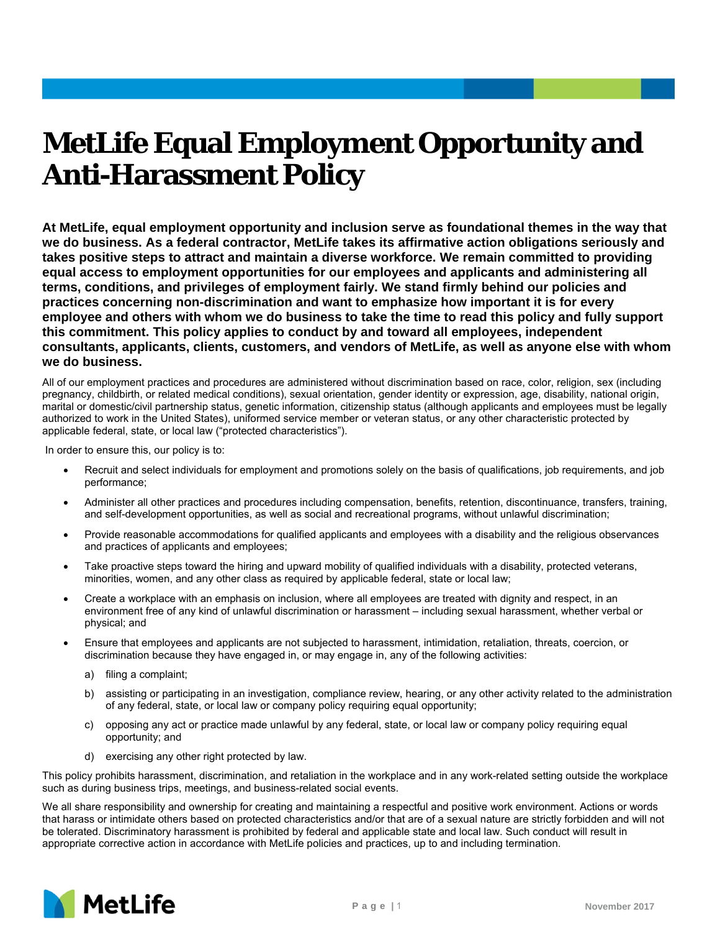## **MetLife Equal Employment Opportunity and Anti-Harassment Policy**

**At MetLife, equal employment opportunity and inclusion serve as foundational themes in the way that we do business. As a federal contractor, MetLife takes its affirmative action obligations seriously and takes positive steps to attract and maintain a diverse workforce. We remain committed to providing equal access to employment opportunities for our employees and applicants and administering all terms, conditions, and privileges of employment fairly. We stand firmly behind our policies and practices concerning non-discrimination and want to emphasize how important it is for every employee and others with whom we do business to take the time to read this policy and fully support this commitment. This policy applies to conduct by and toward all employees, independent consultants, applicants, clients, customers, and vendors of MetLife, as well as anyone else with whom we do business.** 

All of our employment practices and procedures are administered without discrimination based on race, color, religion, sex (including pregnancy, childbirth, or related medical conditions), sexual orientation, gender identity or expression, age, disability, national origin, marital or domestic/civil partnership status, genetic information, citizenship status (although applicants and employees must be legally authorized to work in the United States), uniformed service member or veteran status, or any other characteristic protected by applicable federal, state, or local law ("protected characteristics").

In order to ensure this, our policy is to:

- Recruit and select individuals for employment and promotions solely on the basis of qualifications, job requirements, and job performance;
- Administer all other practices and procedures including compensation, benefits, retention, discontinuance, transfers, training, and self-development opportunities, as well as social and recreational programs, without unlawful discrimination;
- Provide reasonable accommodations for qualified applicants and employees with a disability and the religious observances and practices of applicants and employees;
- Take proactive steps toward the hiring and upward mobility of qualified individuals with a disability, protected veterans, minorities, women, and any other class as required by applicable federal, state or local law;
- Create a workplace with an emphasis on inclusion, where all employees are treated with dignity and respect, in an environment free of any kind of unlawful discrimination or harassment – including sexual harassment, whether verbal or physical; and
- Ensure that employees and applicants are not subjected to harassment, intimidation, retaliation, threats, coercion, or discrimination because they have engaged in, or may engage in, any of the following activities:
	- a) filing a complaint;
	- b) assisting or participating in an investigation, compliance review, hearing, or any other activity related to the administration of any federal, state, or local law or company policy requiring equal opportunity;
	- c) opposing any act or practice made unlawful by any federal, state, or local law or company policy requiring equal opportunity; and
	- d) exercising any other right protected by law.

This policy prohibits harassment, discrimination, and retaliation in the workplace and in any work-related setting outside the workplace such as during business trips, meetings, and business-related social events.

We all share responsibility and ownership for creating and maintaining a respectful and positive work environment. Actions or words that harass or intimidate others based on protected characteristics and/or that are of a sexual nature are strictly forbidden and will not be tolerated. Discriminatory harassment is prohibited by federal and applicable state and local law. Such conduct will result in appropriate corrective action in accordance with MetLife policies and practices, up to and including termination.